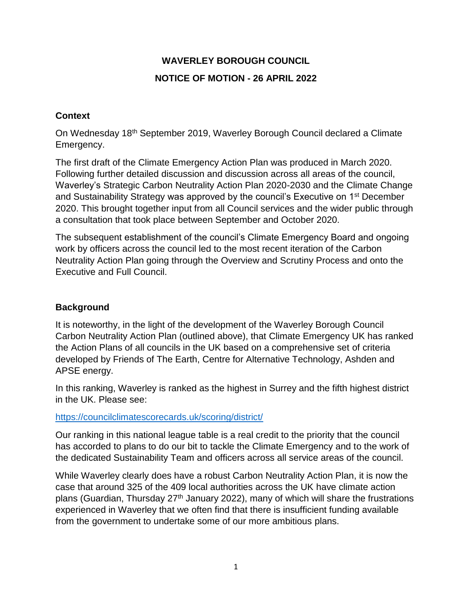# **WAVERLEY BOROUGH COUNCIL NOTICE OF MOTION - 26 APRIL 2022**

### **Context**

On Wednesday 18th September 2019, Waverley Borough Council declared a Climate Emergency.

The first draft of the Climate Emergency Action Plan was produced in March 2020. Following further detailed discussion and discussion across all areas of the council, Waverley's Strategic Carbon Neutrality Action Plan 2020-2030 and the Climate Change and Sustainability Strategy was approved by the council's Executive on 1st December 2020. This brought together input from all Council services and the wider public through a consultation that took place between September and October 2020.

The subsequent establishment of the council's Climate Emergency Board and ongoing work by officers across the council led to the most recent iteration of the Carbon Neutrality Action Plan going through the Overview and Scrutiny Process and onto the Executive and Full Council.

## **Background**

It is noteworthy, in the light of the development of the Waverley Borough Council Carbon Neutrality Action Plan (outlined above), that Climate Emergency UK has ranked the Action Plans of all councils in the UK based on a comprehensive set of criteria developed by Friends of The Earth, Centre for Alternative Technology, Ashden and APSE energy.

In this ranking, Waverley is ranked as the highest in Surrey and the fifth highest district in the UK. Please see:

[https://councilclimatescorecards.uk/scoring/district/](https://councilclimatescorecards.uk/scoring/district/x)

Our ranking in this national league table is a real credit to the priority that the council has accorded to plans to do our bit to tackle the Climate Emergency and to the work of the dedicated Sustainability Team and officers across all service areas of the council.

While Waverley clearly does have a robust Carbon Neutrality Action Plan, it is now the case that around 325 of the 409 local authorities across the UK have climate action plans (Guardian, Thursday  $27<sup>th</sup>$  January 2022), many of which will share the frustrations experienced in Waverley that we often find that there is insufficient funding available from the government to undertake some of our more ambitious plans.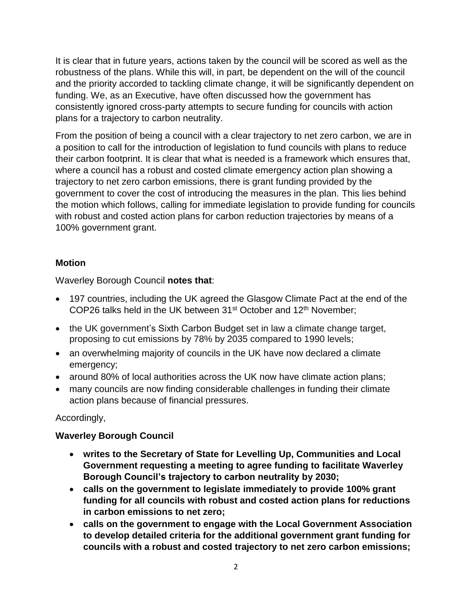It is clear that in future years, actions taken by the council will be scored as well as the robustness of the plans. While this will, in part, be dependent on the will of the council and the priority accorded to tackling climate change, it will be significantly dependent on funding. We, as an Executive, have often discussed how the government has consistently ignored cross-party attempts to secure funding for councils with action plans for a trajectory to carbon neutrality.

From the position of being a council with a clear trajectory to net zero carbon, we are in a position to call for the introduction of legislation to fund councils with plans to reduce their carbon footprint. It is clear that what is needed is a framework which ensures that, where a council has a robust and costed climate emergency action plan showing a trajectory to net zero carbon emissions, there is grant funding provided by the government to cover the cost of introducing the measures in the plan. This lies behind the motion which follows, calling for immediate legislation to provide funding for councils with robust and costed action plans for carbon reduction trajectories by means of a 100% government grant.

#### **Motion**

Waverley Borough Council **notes that**:

- 197 countries, including the UK agreed the Glasgow Climate Pact at the end of the COP26 talks held in the UK between 31<sup>st</sup> October and 12<sup>th</sup> November;
- the UK government's Sixth Carbon Budget set in law a climate change target, proposing to cut emissions by 78% by 2035 compared to 1990 levels;
- an overwhelming majority of councils in the UK have now declared a climate emergency;
- around 80% of local authorities across the UK now have climate action plans;
- many councils are now finding considerable challenges in funding their climate action plans because of financial pressures.

#### Accordingly,

#### **Waverley Borough Council**

- **writes to the Secretary of State for Levelling Up, Communities and Local Government requesting a meeting to agree funding to facilitate Waverley Borough Council's trajectory to carbon neutrality by 2030;**
- **calls on the government to legislate immediately to provide 100% grant funding for all councils with robust and costed action plans for reductions in carbon emissions to net zero;**
- **calls on the government to engage with the Local Government Association to develop detailed criteria for the additional government grant funding for councils with a robust and costed trajectory to net zero carbon emissions;**